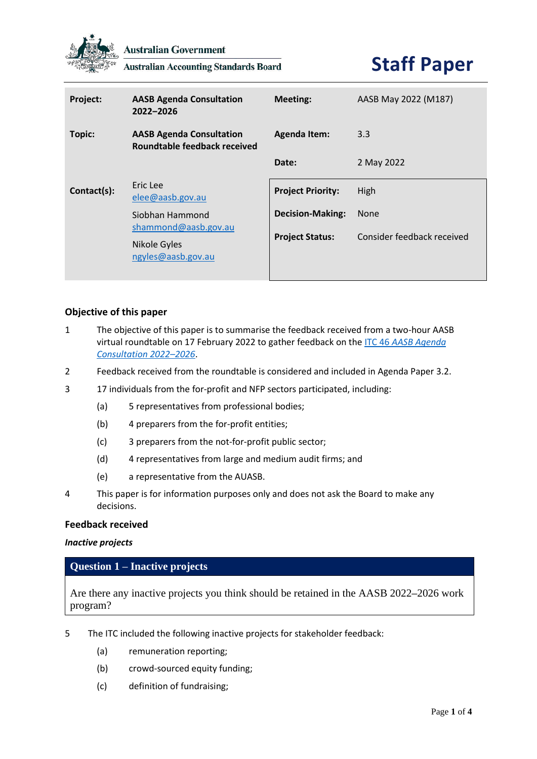

**Australian Government** 

**Australian Accounting Standards Board** 

# **Staff Paper**

| <b>Project:</b> | <b>AASB Agenda Consultation</b><br>2022-2026                    | Meeting:                 | AASB May 2022 (M187)       |
|-----------------|-----------------------------------------------------------------|--------------------------|----------------------------|
| Topic:          | <b>AASB Agenda Consultation</b><br>Roundtable feedback received | <b>Agenda Item:</b>      | 3.3                        |
|                 |                                                                 | Date:                    | 2 May 2022                 |
| Contact(s):     | Eric Lee<br>elee@aasb.gov.au                                    | <b>Project Priority:</b> | High                       |
|                 | Siobhan Hammond<br>shammond@aasb.gov.au                         | <b>Decision-Making:</b>  | <b>None</b>                |
|                 | Nikole Gyles<br>ngyles@aasb.gov.au                              | <b>Project Status:</b>   | Consider feedback received |

# **Objective of this paper**

- 1 The objective of this paper is to summarise the feedback received from a two-hour AASB virtual roundtable on 17 February 2022 to gather feedback on the ITC 46 *[AASB Agenda](https://aasb.gov.au/admin/file/content105/c9/ITC46_10-21.pdf)  [Consultation 2022](https://aasb.gov.au/admin/file/content105/c9/ITC46_10-21.pdf)–2026*.
- 2 Feedback received from the roundtable is considered and included in Agenda Paper 3.2.
- 3 17 individuals from the for-profit and NFP sectors participated, including:
	- (a) 5 representatives from professional bodies;
	- (b) 4 preparers from the for-profit entities;
	- (c) 3 preparers from the not-for-profit public sector;
	- (d) 4 representatives from large and medium audit firms; and
	- (e) a representative from the AUASB.
- 4 This paper is for information purposes only and does not ask the Board to make any decisions.

#### **Feedback received**

#### *Inactive projects*

# **Question 1 – Inactive projects**

Are there any inactive projects you think should be retained in the AASB 2022**–**2026 work program?

- 5 The ITC included the following inactive projects for stakeholder feedback:
	- (a) remuneration reporting;
	- (b) crowd-sourced equity funding;
	- (c) definition of fundraising;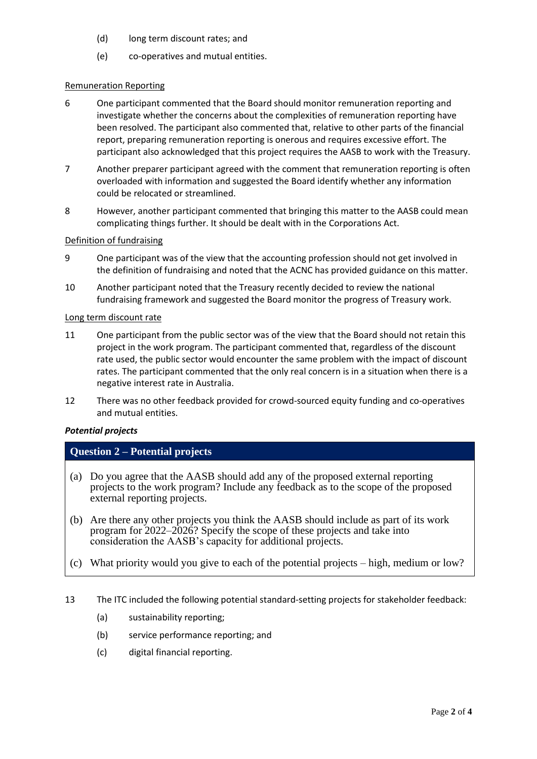- (d) long term discount rates; and
- (e) co-operatives and mutual entities.

#### Remuneration Reporting

- 6 One participant commented that the Board should monitor remuneration reporting and investigate whether the concerns about the complexities of remuneration reporting have been resolved. The participant also commented that, relative to other parts of the financial report, preparing remuneration reporting is onerous and requires excessive effort. The participant also acknowledged that this project requires the AASB to work with the Treasury.
- 7 Another preparer participant agreed with the comment that remuneration reporting is often overloaded with information and suggested the Board identify whether any information could be relocated or streamlined.
- 8 However, another participant commented that bringing this matter to the AASB could mean complicating things further. It should be dealt with in the Corporations Act.

#### Definition of fundraising

- 9 One participant was of the view that the accounting profession should not get involved in the definition of fundraising and noted that the ACNC has provided guidance on this matter.
- 10 Another participant noted that the Treasury recently decided to review the national fundraising framework and suggested the Board monitor the progress of Treasury work.

#### Long term discount rate

- 11 One participant from the public sector was of the view that the Board should not retain this project in the work program. The participant commented that, regardless of the discount rate used, the public sector would encounter the same problem with the impact of discount rates. The participant commented that the only real concern is in a situation when there is a negative interest rate in Australia.
- 12 There was no other feedback provided for crowd-sourced equity funding and co-operatives and mutual entities.

# *Potential projects*

# **Question 2 – Potential projects**

- (a) Do you agree that the AASB should add any of the proposed external reporting projects to the work program? Include any feedback as to the scope of the proposed external reporting projects.
- (b) Are there any other projects you think the AASB should include as part of its work program for 2022–2026? Specify the scope of these projects and take into consideration the AASB's capacity for additional projects.
- (c) What priority would you give to each of the potential projects high, medium or low?
- 13 The ITC included the following potential standard-setting projects for stakeholder feedback:
	- (a) sustainability reporting;
	- (b) service performance reporting; and
	- (c) digital financial reporting.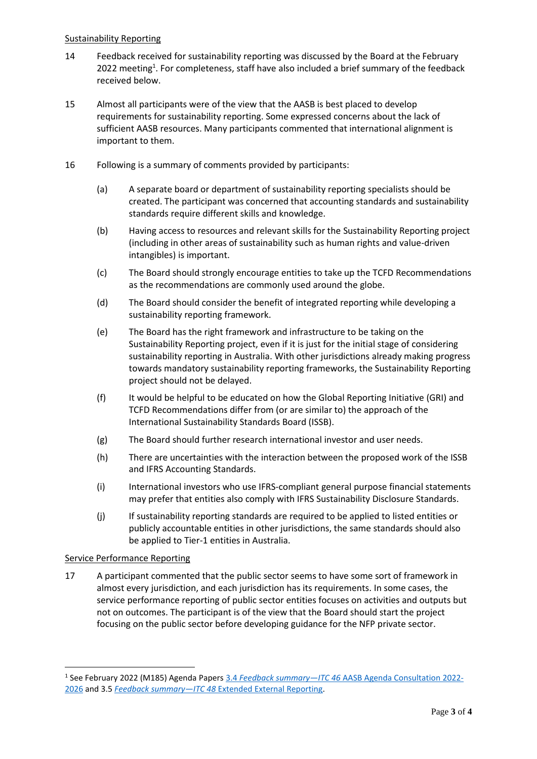#### Sustainability Reporting

- 14 Feedback received for sustainability reporting was discussed by the Board at the February 2022 meeting<sup>1</sup>. For completeness, staff have also included a brief summary of the feedback received below.
- 15 Almost all participants were of the view that the AASB is best placed to develop requirements for sustainability reporting. Some expressed concerns about the lack of sufficient AASB resources. Many participants commented that international alignment is important to them.
- 16 Following is a summary of comments provided by participants:
	- (a) A separate board or department of sustainability reporting specialists should be created. The participant was concerned that accounting standards and sustainability standards require different skills and knowledge.
	- (b) Having access to resources and relevant skills for the Sustainability Reporting project (including in other areas of sustainability such as human rights and value-driven intangibles) is important.
	- (c) The Board should strongly encourage entities to take up the TCFD Recommendations as the recommendations are commonly used around the globe.
	- (d) The Board should consider the benefit of integrated reporting while developing a sustainability reporting framework.
	- (e) The Board has the right framework and infrastructure to be taking on the Sustainability Reporting project, even if it is just for the initial stage of considering sustainability reporting in Australia. With other jurisdictions already making progress towards mandatory sustainability reporting frameworks, the Sustainability Reporting project should not be delayed.
	- (f) It would be helpful to be educated on how the Global Reporting Initiative (GRI) and TCFD Recommendations differ from (or are similar to) the approach of the International Sustainability Standards Board (ISSB).
	- (g) The Board should further research international investor and user needs.
	- (h) There are uncertainties with the interaction between the proposed work of the ISSB and IFRS Accounting Standards.
	- (i) International investors who use IFRS-compliant general purpose financial statements may prefer that entities also comply with IFRS Sustainability Disclosure Standards.
	- (j) If sustainability reporting standards are required to be applied to listed entities or publicly accountable entities in other jurisdictions, the same standards should also be applied to Tier-1 entities in Australia.

# Service Performance Reporting

17 A participant commented that the public sector seems to have some sort of framework in almost every jurisdiction, and each jurisdiction has its requirements. In some cases, the service performance reporting of public sector entities focuses on activities and outputs but not on outcomes. The participant is of the view that the Board should start the project focusing on the public sector before developing guidance for the NFP private sector.

<sup>1</sup> See February 2022 (M185) Agenda Papers 3.4 *Feedback summary—ITC 46* [AASB Agenda Consultation 2022-](https://www.aasb.gov.au/media/ylwp41rf/3-4_sr_feedbacksummary_itc46_m185_pp.pdf) [2026](https://www.aasb.gov.au/media/ylwp41rf/3-4_sr_feedbacksummary_itc46_m185_pp.pdf) and 3.5 *Feedback summary—ITC 48* [Extended External Reporting.](https://www.aasb.gov.au/media/kjybqlid/3-5-0_sr_feedbacksummary_itc48_m185_pp.pdf)